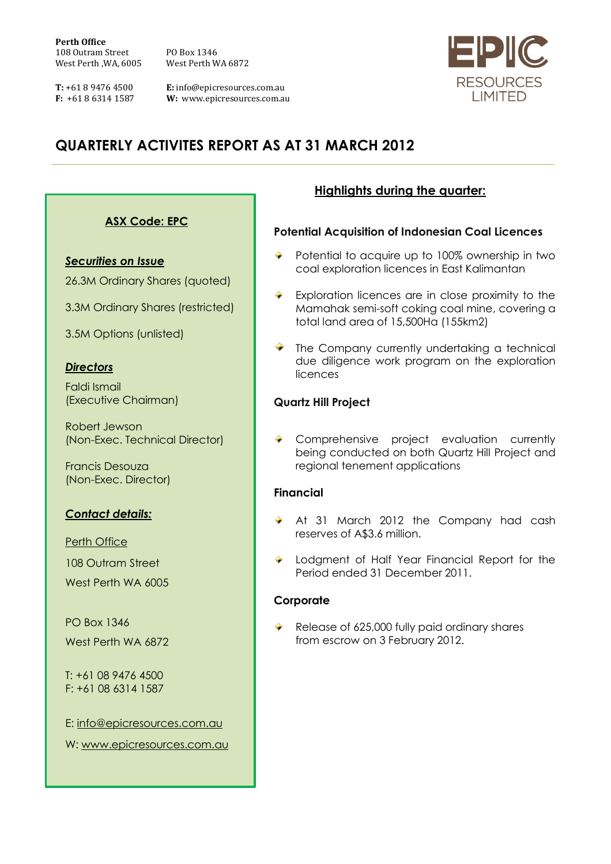**Perth Office** 108 Outram Street PO Box 1346 West Perth ,WA, 6005 West Perth WA 6872

**T:** +61 8 9476 4500 **E:** info@epicresources.com.au<br>**F:** +61 8 6314 1587 **W:** www.epicresources.com.au **W:** www.epicresources.com.au



# **QUARTERLY ACTIVITES REPORT AS AT 31 MARCH 2012**

# **ASX Code: EPC**

*Securities on Issue*

26.3M Ordinary Shares (quoted)

3.3M Ordinary Shares (restricted)

3.5M Options (unlisted)

#### *Directors*

Faldi Ismail (Executive Chairman)

Robert Jewson (Non-Exec. Technical Director)

Francis Desouza (Non-Exec. Director)

# *Contact details:*

Perth Office

108 Outram Street

West Perth WA 6005

PO Box 1346 West Perth WA 6872

T: +61 08 9476 4500 F: +61 08 6314 1587

E: [info@epicresources.com.au](mailto:info@epicresources.com.au)

W: [www.epicresources.com.au](http://www.epicresources.com.au/)

# **Highlights during the quarter:**

#### **Potential Acquisition of Indonesian Coal Licences**

- Potential to acquire up to 100% ownership in two coal exploration licences in East Kalimantan
- Exploration licences are in close proximity to the Mamahak semi-soft coking coal mine, covering a total land area of 15,500Ha (155km2)
- The Company currently undertaking a technical due diligence work program on the exploration licences

#### **Quartz Hill Project**

Comprehensive project evaluation currently being conducted on both Quartz Hill Project and regional tenement applications

#### **Financial**

- At 31 March 2012 the Company had cash reserves of A\$3.6 million.
- ◆ Lodgment of Half Year Financial Report for the Period ended 31 December 2011.

#### **Corporate**

Release of 625,000 fully paid ordinary shares from escrow on 3 February 2012.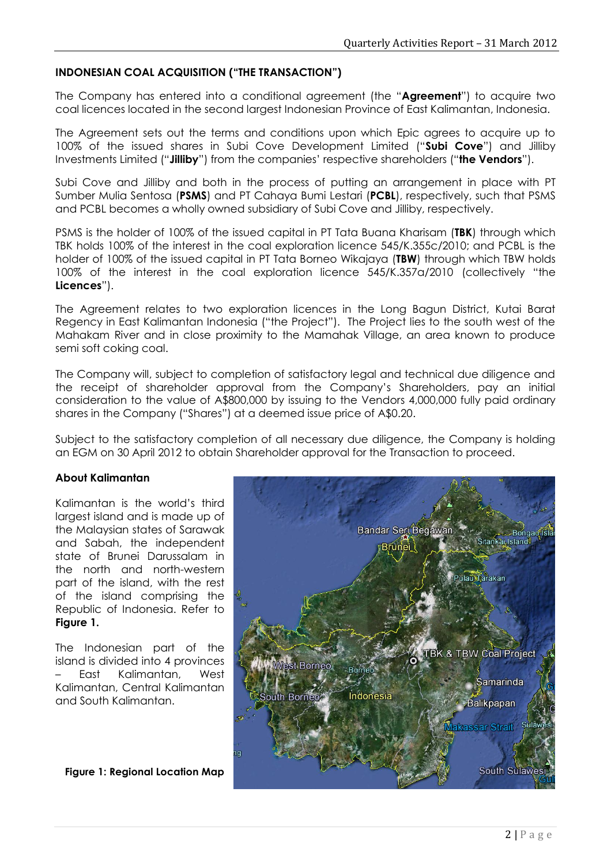# **INDONESIAN COAL ACQUISITION ("THE TRANSACTION")**

The Company has entered into a conditional agreement (the "**Agreement**") to acquire two coal licences located in the second largest Indonesian Province of East Kalimantan, Indonesia.

The Agreement sets out the terms and conditions upon which Epic agrees to acquire up to 100% of the issued shares in Subi Cove Development Limited ("**Subi Cove**") and Jilliby Investments Limited ("**Jilliby**") from the companies' respective shareholders ("**the Vendors**").

Subi Cove and Jilliby and both in the process of putting an arrangement in place with PT Sumber Mulia Sentosa (**PSMS**) and PT Cahaya Bumi Lestari (**PCBL**), respectively, such that PSMS and PCBL becomes a wholly owned subsidiary of Subi Cove and Jilliby, respectively.

PSMS is the holder of 100% of the issued capital in PT Tata Buana Kharisam (**TBK**) through which TBK holds 100% of the interest in the coal exploration licence 545/K.355c/2010; and PCBL is the holder of 100% of the issued capital in PT Tata Borneo Wikajaya (**TBW**) through which TBW holds 100% of the interest in the coal exploration licence 545/K.357a/2010 (collectively "the **Licences**").

The Agreement relates to two exploration licences in the Long Bagun District, Kutai Barat Regency in East Kalimantan Indonesia ("the Project"). The Project lies to the south west of the Mahakam River and in close proximity to the Mamahak Village, an area known to produce semi soft coking coal.

The Company will, subject to completion of satisfactory legal and technical due diligence and the receipt of shareholder approval from the Company's Shareholders, pay an initial consideration to the value of A\$800,000 by issuing to the Vendors 4,000,000 fully paid ordinary shares in the Company ("Shares") at a deemed issue price of A\$0.20.

Subject to the satisfactory completion of all necessary due diligence, the Company is holding an EGM on 30 April 2012 to obtain Shareholder approval for the Transaction to proceed.

#### **About Kalimantan**

Kalimantan is the world's third largest island and is made up of the Malaysian states of Sarawak and Sabah, the independent state of Brunei Darussalam in the north and north-western part of the island, with the rest of the island comprising the Republic of Indonesia. Refer to **Figure 1.**

The Indonesian part of the island is divided into 4 provinces – East Kalimantan, West Kalimantan, Central Kalimantan and South Kalimantan.

**Figure 1: Regional Location Map**

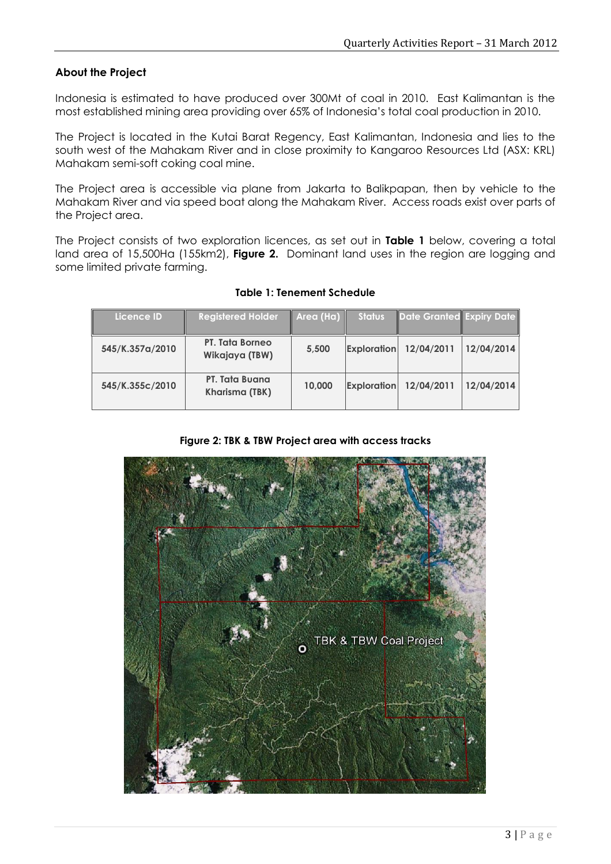#### **About the Project**

Indonesia is estimated to have produced over 300Mt of coal in 2010. East Kalimantan is the most established mining area providing over 65% of Indonesia's total coal production in 2010.

The Project is located in the Kutai Barat Regency, East Kalimantan, Indonesia and lies to the south west of the Mahakam River and in close proximity to Kangaroo Resources Ltd (ASX: KRL) Mahakam semi-soft coking coal mine.

The Project area is accessible via plane from Jakarta to Balikpapan, then by vehicle to the Mahakam River and via speed boat along the Mahakam River. Access roads exist over parts of the Project area.

The Project consists of two exploration licences, as set out in **Table 1** below, covering a total land area of 15,500Ha (155km2), **Figure 2.** Dominant land uses in the region are logging and some limited private farming.

| Licence ID'     | <b>Registered Holder</b>                 | $\vert$ Area (Ha) $\vert$ | <b>Status</b>      | Date Granted Expiry Date |            |
|-----------------|------------------------------------------|---------------------------|--------------------|--------------------------|------------|
| 545/K.357a/2010 | <b>PT. Tata Borneo</b><br>Wikajaya (TBW) | 5,500                     | <b>Exploration</b> | 12/04/2011               | 12/04/2014 |
| 545/K.355c/2010 | PT. Tata Buana<br>Kharisma (TBK)         | 10,000                    | <b>Exploration</b> | 12/04/2011               | 12/04/2014 |

#### **Table 1: Tenement Schedule**

|  |  |  |  |  |  |  |  | Figure 2: TBK & TBW Project area with access tracks |  |
|--|--|--|--|--|--|--|--|-----------------------------------------------------|--|
|--|--|--|--|--|--|--|--|-----------------------------------------------------|--|

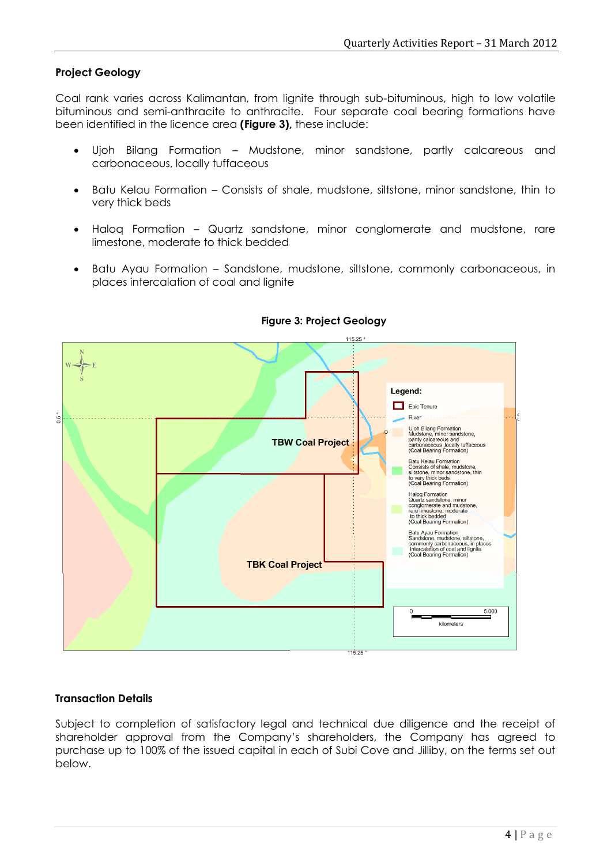# **Project Geology**

Coal rank varies across Kalimantan, from lignite through sub-bituminous, high to low volatile bituminous and semi-anthracite to anthracite. Four separate coal bearing formations have been identified in the licence area **(Figure 3),** these include:

- Ujoh Bilang Formation Mudstone, minor sandstone, partly calcareous and carbonaceous, locally tuffaceous
- Batu Kelau Formation Consists of shale, mudstone, siltstone, minor sandstone, thin to very thick beds
- Haloq Formation Quartz sandstone, minor conglomerate and mudstone, rare limestone, moderate to thick bedded
- Batu Ayau Formation Sandstone, mudstone, siltstone, commonly carbonaceous, in places intercalation of coal and lignite



#### **Figure 3: Project Geology**

#### **Transaction Details**

Subject to completion of satisfactory legal and technical due diligence and the receipt of shareholder approval from the Company's shareholders, the Company has agreed to purchase up to 100% of the issued capital in each of Subi Cove and Jilliby, on the terms set out below.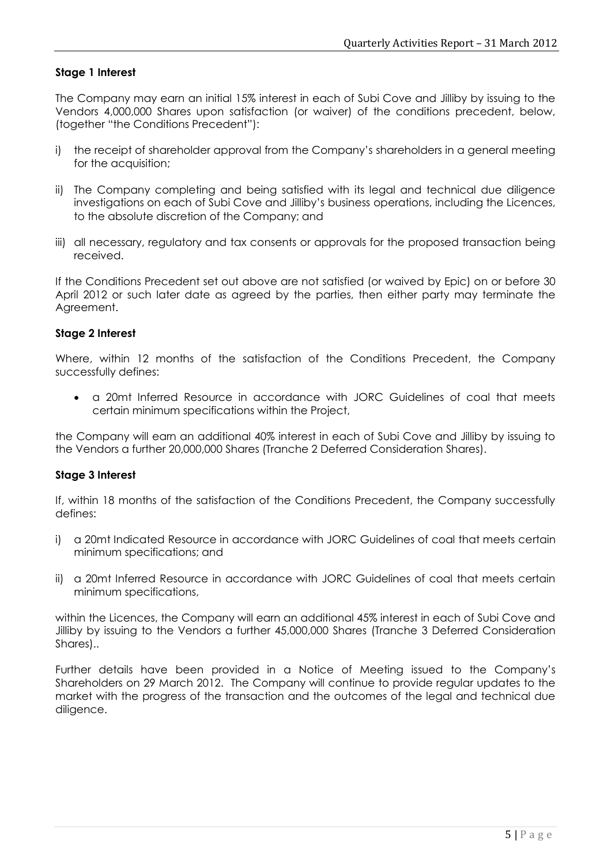# **Stage 1 Interest**

The Company may earn an initial 15% interest in each of Subi Cove and Jilliby by issuing to the Vendors 4,000,000 Shares upon satisfaction (or waiver) of the conditions precedent, below, (together "the Conditions Precedent"):

- i) the receipt of shareholder approval from the Company's shareholders in a general meeting for the acquisition;
- ii) The Company completing and being satisfied with its legal and technical due diligence investigations on each of Subi Cove and Jilliby's business operations, including the Licences, to the absolute discretion of the Company; and
- iii) all necessary, regulatory and tax consents or approvals for the proposed transaction being received.

If the Conditions Precedent set out above are not satisfied (or waived by Epic) on or before 30 April 2012 or such later date as agreed by the parties, then either party may terminate the Agreement.

#### **Stage 2 Interest**

Where, within 12 months of the satisfaction of the Conditions Precedent, the Company successfully defines:

 a 20mt Inferred Resource in accordance with JORC Guidelines of coal that meets certain minimum specifications within the Project,

the Company will earn an additional 40% interest in each of Subi Cove and Jilliby by issuing to the Vendors a further 20,000,000 Shares (Tranche 2 Deferred Consideration Shares).

#### **Stage 3 Interest**

If, within 18 months of the satisfaction of the Conditions Precedent, the Company successfully defines:

- i) a 20mt Indicated Resource in accordance with JORC Guidelines of coal that meets certain minimum specifications; and
- ii) a 20mt Inferred Resource in accordance with JORC Guidelines of coal that meets certain minimum specifications,

within the Licences, the Company will earn an additional 45% interest in each of Subi Cove and Jilliby by issuing to the Vendors a further 45,000,000 Shares (Tranche 3 Deferred Consideration Shares)..

Further details have been provided in a Notice of Meeting issued to the Company's Shareholders on 29 March 2012. The Company will continue to provide regular updates to the market with the progress of the transaction and the outcomes of the legal and technical due diligence.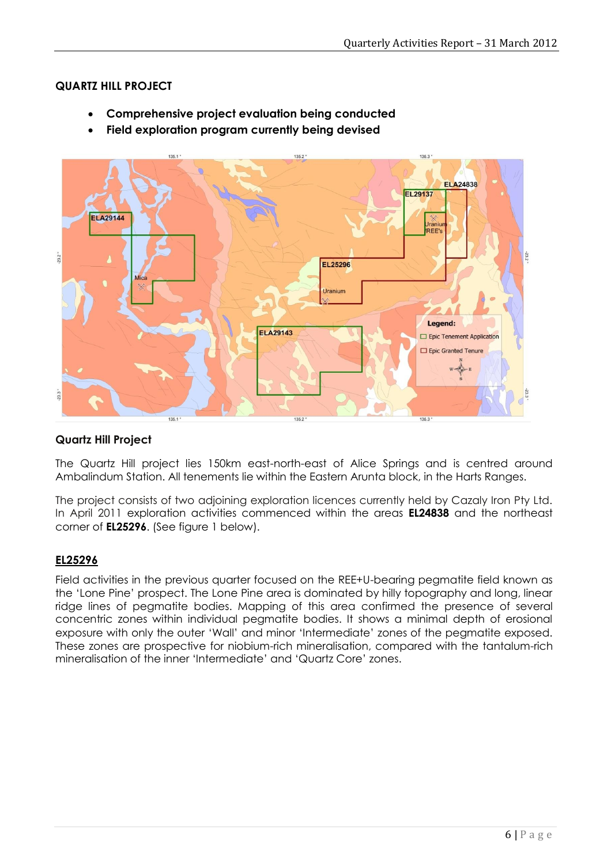# **QUARTZ HILL PROJECT**

- **Comprehensive project evaluation being conducted**
- **Field exploration program currently being devised**



# **Quartz Hill Project**

The Quartz Hill project lies 150km east-north-east of Alice Springs and is centred around Ambalindum Station. All tenements lie within the Eastern Arunta block, in the Harts Ranges.

The project consists of two adjoining exploration licences currently held by Cazaly Iron Pty Ltd. In April 2011 exploration activities commenced within the areas **EL24838** and the northeast corner of **EL25296**. (See figure 1 below).

# **EL25296**

Field activities in the previous quarter focused on the REE+U-bearing pegmatite field known as the 'Lone Pine' prospect. The Lone Pine area is dominated by hilly topography and long, linear ridge lines of pegmatite bodies. Mapping of this area confirmed the presence of several concentric zones within individual pegmatite bodies. It shows a minimal depth of erosional exposure with only the outer 'Wall' and minor 'Intermediate' zones of the pegmatite exposed. These zones are prospective for niobium-rich mineralisation, compared with the tantalum-rich mineralisation of the inner 'Intermediate' and 'Quartz Core' zones.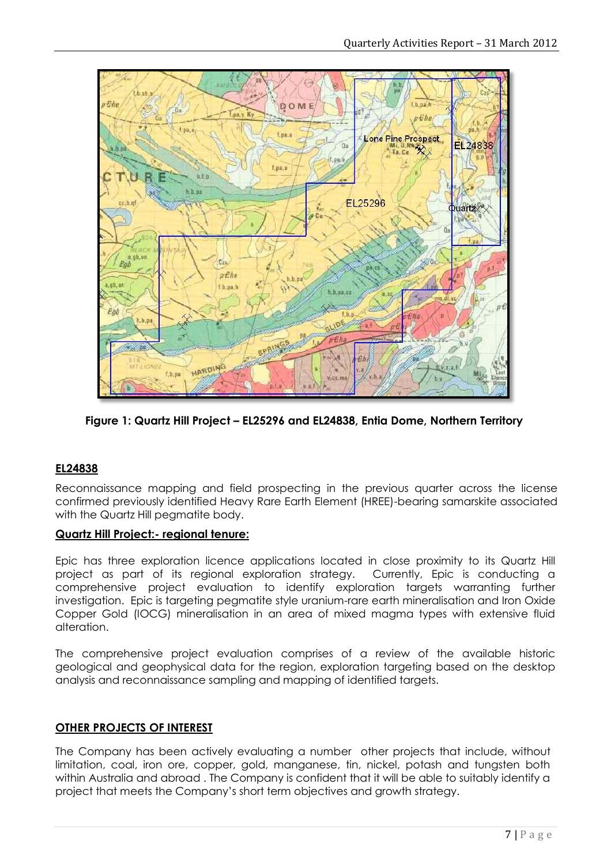

**Figure 1: Quartz Hill Project – EL25296 and EL24838, Entia Dome, Northern Territory**

# **EL24838**

Reconnaissance mapping and field prospecting in the previous quarter across the license confirmed previously identified Heavy Rare Earth Element (HREE)-bearing samarskite associated with the Quartz Hill pegmatite body.

# **Quartz Hill Project:- regional tenure:**

Epic has three exploration licence applications located in close proximity to its Quartz Hill project as part of its regional exploration strategy. Currently, Epic is conducting a comprehensive project evaluation to identify exploration targets warranting further investigation. Epic is targeting pegmatite style uranium-rare earth mineralisation and Iron Oxide Copper Gold (IOCG) mineralisation in an area of mixed magma types with extensive fluid alteration.

The comprehensive project evaluation comprises of a review of the available historic geological and geophysical data for the region, exploration targeting based on the desktop analysis and reconnaissance sampling and mapping of identified targets.

#### **OTHER PROJECTS OF INTEREST**

The Company has been actively evaluating a number other projects that include, without limitation, coal, iron ore, copper, gold, manganese, tin, nickel, potash and tungsten both within Australia and abroad . The Company is confident that it will be able to suitably identify a project that meets the Company's short term objectives and growth strategy.